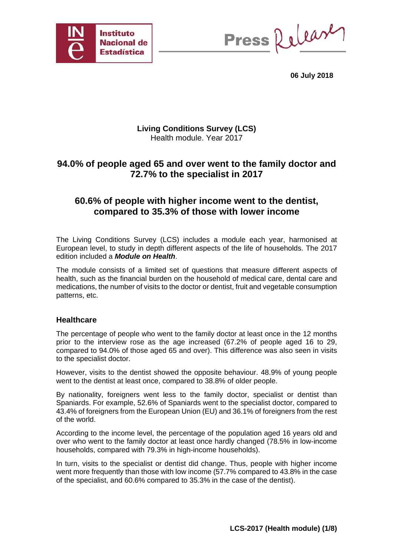

Press Release

**06 July 2018** 

#### **Living Conditions Survey (LCS)**  Health module. Year 2017

# **94.0% of people aged 65 and over went to the family doctor and 72.7% to the specialist in 2017**

# **60.6% of people with higher income went to the dentist, compared to 35.3% of those with lower income**

The Living Conditions Survey (LCS) includes a module each year, harmonised at European level, to study in depth different aspects of the life of households. The 2017 edition included a *Module on Health*.

The module consists of a limited set of questions that measure different aspects of health, such as the financial burden on the household of medical care, dental care and medications, the number of visits to the doctor or dentist, fruit and vegetable consumption patterns, etc.

#### **Healthcare**

The percentage of people who went to the family doctor at least once in the 12 months prior to the interview rose as the age increased (67.2% of people aged 16 to 29, compared to 94.0% of those aged 65 and over). This difference was also seen in visits to the specialist doctor.

However, visits to the dentist showed the opposite behaviour. 48.9% of young people went to the dentist at least once, compared to 38.8% of older people.

By nationality, foreigners went less to the family doctor, specialist or dentist than Spaniards. For example, 52.6% of Spaniards went to the specialist doctor, compared to 43.4% of foreigners from the European Union (EU) and 36.1% of foreigners from the rest of the world.

According to the income level, the percentage of the population aged 16 years old and over who went to the family doctor at least once hardly changed (78.5% in low-income households, compared with 79.3% in high-income households).

In turn, visits to the specialist or dentist did change. Thus, people with higher income went more frequently than those with low income (57.7% compared to 43.8% in the case of the specialist, and 60.6% compared to 35.3% in the case of the dentist).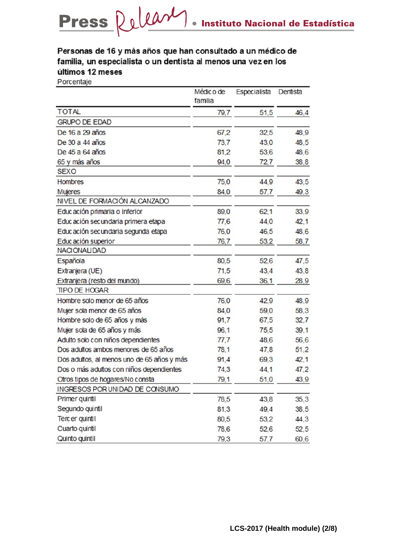# Personas de 16 y más años que han consultado a un médico de familia, un especialista o un dentista al menos una vez en los últimos 12 meses

Porcentaje

|                                            | Médic o de<br>familia | Especialista | Dentista |
|--------------------------------------------|-----------------------|--------------|----------|
| <b>TOTAL</b>                               | 79,7                  | 51,5         | 46,4     |
| <b>GRUPO DE EDAD</b>                       |                       |              |          |
| De 16 a 29 años                            | 67,2                  | 32,5         | 48,9     |
| De 30 a 44 años                            | 73,7                  | 43,0         | 48,5     |
| De 45 a 64 años                            | 81,2                  | 53,6         | 48,6     |
| 65 y más años                              | 94,0                  | 72,7         | 38,8     |
| <b>SEXO</b>                                |                       |              |          |
| <b>Hombres</b>                             | 75,0                  | 44.9         | 43,5     |
| <b>Mujeres</b>                             | 84,0                  | 57,7         | 49,3     |
| NIVEL DE FORMACIÓN ALCANZADO               |                       |              |          |
| Educación primaria o inferior              | 89,0                  | 62,1         | 33,9     |
| Educación secundaria primera etapa         | 77,6                  | 44,0         | 42,1     |
| Educación secundaria segunda etapa         | 76,0                  | 46,5         | 48,6     |
| Educación superior                         | 76,7                  | 53,2         | 58,7     |
| NACIONALIDAD                               |                       |              |          |
| Española                                   | 80,5                  | 52,6         | 47,5     |
| Extranjera (UE)                            | 71,5                  | 43.4         | 43,8     |
| Extranjera (resto del mundo)               | 69,6                  | 36,1         | 28,9     |
| TIPO DE HOGAR                              |                       |              |          |
| Hombre solo menor de 65 años               | 76,0                  | 42,9         | 48,9     |
| Mujer sola menor de 65 años                | 84,0                  | 59,0         | 58,3     |
| Hombre solo de 65 años y más               | 91,7                  | 67,5         | 32,7     |
| Mujer sola de 65 años y más                | 96,1                  | 75,5         | 39,1     |
| Adulto solo con niños dependientes         | 77,7                  | 48,6         | 56,6     |
| Dos adultos ambos menores de 65 años       | 78,1                  | 47,8         | 51,2     |
| Dos adultos, al menos uno de 65 años y más | 91,4                  | 69,3         | 42,1     |
| Dos o más adultos con niños dependientes   | 74,3                  | 44.1         | 47,2     |
| Otros tipos de hogares/No consta           | 79.1                  | 51,0         | 43.9     |
| INGRESOS POR UNIDAD DE CONSUMO             |                       |              |          |
| Primer quintil                             | 78,5                  | 43,8         | 35,3     |
| Segundo quintil                            | 81,3                  | 49,4         | 38,5     |
| Terc er quintil                            | 80,5                  | 53,2         | 44,3     |
| Cuarto quintil                             | 78,6                  | 52,6         | 52,5     |
| Quinto quintil                             | 79,3                  | 57,7         | 60,6     |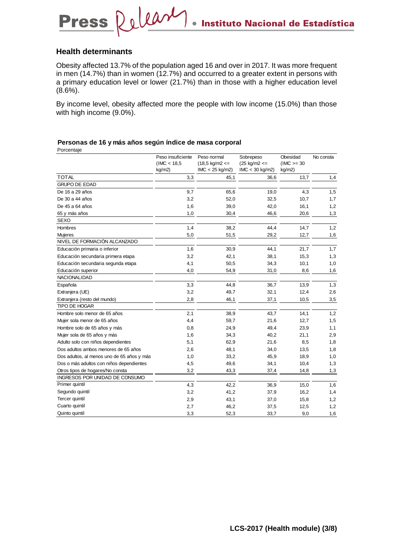#### **Health determinants**

**Press** 

Obesity affected 13.7% of the population aged 16 and over in 2017. It was more frequent in men (14.7%) than in women (12.7%) and occurred to a greater extent in persons with a primary education level or lower (21.7%) than in those with a higher education level  $(8.6\%)$ .

By income level, obesity affected more the people with low income (15.0%) than those with high income (9.0%).

## **Personas de 16 y más años según índice de masa corporal**

Release

Porcentaje

|                                            | Peso insuficiente<br>(IMC < 18.5)<br>kg/m2) | Peso normal<br>$(18,5 \text{ kg/m2} \leq$<br>$IMC < 25$ kg/m2) | Sobrepeso<br>$(25 \text{ kg/m2} \leq$<br>$IMC < 30$ kg/m2) | Obesidad<br>$(IMC >= 30$<br>kg/m2) | No consta |
|--------------------------------------------|---------------------------------------------|----------------------------------------------------------------|------------------------------------------------------------|------------------------------------|-----------|
| <b>TOTAL</b>                               | 3,3                                         | 45,1                                                           | 36,6                                                       | 13,7                               | 1,4       |
| <b>GRUPO DE EDAD</b>                       |                                             |                                                                |                                                            |                                    |           |
| De 16 a 29 años                            | 9,7                                         | 65,6                                                           | 19,0                                                       | 4,3                                | 1,5       |
| De 30 a 44 años                            | 3,2                                         | 52,0                                                           | 32,5                                                       | 10,7                               | 1,7       |
| De 45 a 64 años                            | 1,6                                         | 39,0                                                           | 42,0                                                       | 16,1                               | 1,2       |
| 65 y más años                              | 1,0                                         | 30,4                                                           | 46,6                                                       | 20,6                               | 1,3       |
| <b>SEXO</b>                                |                                             |                                                                |                                                            |                                    |           |
| Hombres                                    | 1,4                                         | 38,2                                                           | 44,4                                                       | 14,7                               | 1,2       |
| <b>Mujeres</b>                             | 5,0                                         | 51,5                                                           | 29,2                                                       | 12,7                               | 1,6       |
| NIVEL DE FORMACIÓN ALCANZADO               |                                             |                                                                |                                                            |                                    |           |
| Educación primaria o inferior              | 1,6                                         | 30,9                                                           | 44,1                                                       | 21,7                               | 1,7       |
| Educación secundaria primera etapa         | 3,2                                         | 42,1                                                           | 38,1                                                       | 15,3                               | 1,3       |
| Educación secundaria segunda etapa         | 4,1                                         | 50,5                                                           | 34,3                                                       | 10,1                               | 1,0       |
| Educación superior                         | 4,0                                         | 54,9                                                           | 31,0                                                       | 8,6                                | 1,6       |
| <b>NACIONALIDAD</b>                        |                                             |                                                                |                                                            |                                    |           |
| Española                                   | 3,3                                         | 44,8                                                           | 36,7                                                       | 13,9                               | 1,3       |
| Extranjera (UE)                            | 3,2                                         | 49,7                                                           | 32,1                                                       | 12,4                               | 2,6       |
| Extranjera (resto del mundo)               | 2,8                                         | 46,1                                                           | 37,1                                                       | 10,5                               | 3,5       |
| TIPO DE HOGAR                              |                                             |                                                                |                                                            |                                    |           |
| Hombre solo menor de 65 años               | 2,1                                         | 38,9                                                           | 43,7                                                       | 14,1                               | 1,2       |
| Mujer sola menor de 65 años                | 4,4                                         | 59,7                                                           | 21,6                                                       | 12,7                               | 1,5       |
| Hombre solo de 65 años y más               | 0,8                                         | 24,9                                                           | 49,4                                                       | 23,9                               | 1,1       |
| Mujer sola de 65 años y más                | 1,6                                         | 34,3                                                           | 40,2                                                       | 21,1                               | 2,9       |
| Adulto solo con niños dependientes         | 5,1                                         | 62,9                                                           | 21,6                                                       | 8,5                                | 1,8       |
| Dos adultos ambos menores de 65 años       | 2,6                                         | 48,1                                                           | 34,0                                                       | 13,5                               | 1,8       |
| Dos adultos, al menos uno de 65 años y más | 1,0                                         | 33,2                                                           | 45,9                                                       | 18,9                               | 1,0       |
| Dos o más adultos con niños dependientes   | 4,5                                         | 49,6                                                           | 34,1                                                       | 10,4                               | 1,3       |
| Otros tipos de hogares/No consta           | 3,2                                         | 43,3                                                           | 37,4                                                       | 14,8                               | 1,3       |
| INGRESOS POR UNIDAD DE CONSUMO             |                                             |                                                                |                                                            |                                    |           |
| Primer quintil                             | 4,3                                         | 42,2                                                           | 36,9                                                       | 15,0                               | 1,6       |
| Segundo quintil                            | 3,2                                         | 41,2                                                           | 37,9                                                       | 16,2                               | 1,4       |
| Tercer quintil                             | 2,9                                         | 43,1                                                           | 37,0                                                       | 15,8                               | 1,2       |
| Cuarto quintil                             | 2,7                                         | 46,2                                                           | 37,5                                                       | 12,5                               | 1,2       |
| Quinto quintil                             | 3,3                                         | 52,3                                                           | 33,7                                                       | 9,0                                | 1,6       |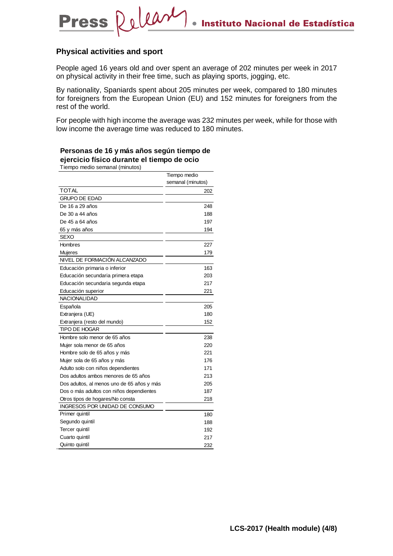#### **Physical activities and sport**

**Press** 

People aged 16 years old and over spent an average of 202 minutes per week in 2017 on physical activity in their free time, such as playing sports, jogging, etc.

By nationality, Spaniards spent about 205 minutes per week, compared to 180 minutes for foreigners from the European Union (EU) and 152 minutes for foreigners from the rest of the world.

For people with high income the average was 232 minutes per week, while for those with low income the average time was reduced to 180 minutes.

#### **Personas de 16 y más años según tiempo de ejercicio físico durante el tiempo de ocio**

Release

Tiempo medio semanal (minutos)

|                                            | Tiempo medio      |
|--------------------------------------------|-------------------|
|                                            | semanal (minutos) |
| <b>TOTAL</b>                               | 202               |
| <b>GRUPO DE EDAD</b>                       |                   |
| De 16 a 29 años                            | 248               |
| De 30 a 44 años                            | 188               |
| De 45 a 64 años                            | 197               |
| 65 y más años                              | 194               |
| SEXO                                       |                   |
| Hombres                                    | 227               |
| Mujeres                                    | 179               |
| NIVEL DE FORMACIÓN ALCANZADO               |                   |
| Educación primaria o inferior              | 163               |
| Educación secundaria primera etapa         | 203               |
| Educación secundaria segunda etapa         | 217               |
| Educación superior                         | 221               |
| NACIONALIDAD                               |                   |
| Española                                   | 205               |
| Extranjera (UE)                            | 180               |
| Extranjera (resto del mundo)               | 152               |
| <b>TIPO DE HOGAR</b>                       |                   |
| Hombre solo menor de 65 años               | 238               |
| Mujer sola menor de 65 años                | 220               |
| Hombre solo de 65 años y más               | 221               |
| Mujer sola de 65 años y más                | 176               |
| Adulto solo con niños dependientes         | 171               |
| Dos adultos ambos menores de 65 años       | 213               |
| Dos adultos, al menos uno de 65 años y más | 205               |
| Dos o más adultos con niños dependientes   | 187               |
| Otros tipos de hogares/No consta           | 218               |
| INGRESOS POR UNIDAD DE CONSUMO             |                   |
| Primer quintil                             | 180               |
| Segundo quintil                            | 188               |
| Tercer quintil                             | 192               |
| Cuarto quintil                             | 217               |
| Quinto quintil                             | 232               |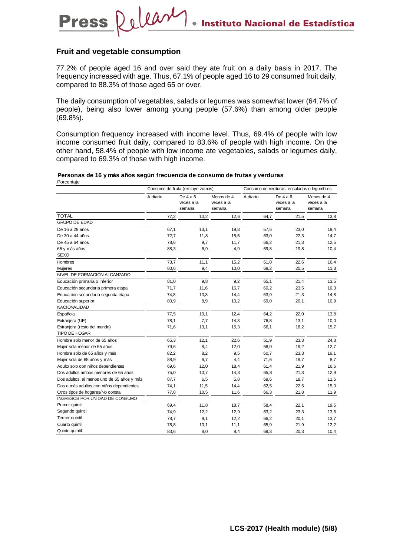#### **Fruit and vegetable consumption**

**Press** 

Delease

77.2% of people aged 16 and over said they ate fruit on a daily basis in 2017. The frequency increased with age. Thus, 67.1% of people aged 16 to 29 consumed fruit daily, compared to 88.3% of those aged 65 or over.

The daily consumption of vegetables, salads or legumes was somewhat lower (64.7% of people), being also lower among young people (57.6%) than among older people (69.8%).

Consumption frequency increased with income level. Thus, 69.4% of people with low income consumed fruit daily, compared to 83.6% of people with high income. On the other hand, 58.4% of people with low income ate vegetables, salads or legumes daily, compared to 69.3% of those with high income.

#### Porcentaje **Personas de 16 y más años según frecuencia de consumo de frutas y verduras**

|                                            | Consumo de fruta (excluye zumos) |                                  |                                    | Consumo de verduras, ensaladas o legumbres |                                  |                                    |
|--------------------------------------------|----------------------------------|----------------------------------|------------------------------------|--------------------------------------------|----------------------------------|------------------------------------|
|                                            | A diario                         | De $4a6$<br>veces a la<br>semana | Menos de 4<br>veces a la<br>semana | A diario                                   | De $4a6$<br>veces a la<br>semana | Menos de 4<br>veces a la<br>semana |
| <b>TOTAL</b>                               | 77,2                             | 10,2                             | 12,6                               | 64,7                                       | 21,5                             | 13,8                               |
| <b>GRUPO DE EDAD</b>                       |                                  |                                  |                                    |                                            |                                  |                                    |
| De 16 a 29 años                            | 67,1                             | 13,1                             | 19,8                               | 57,6                                       | 23,0                             | 19,4                               |
| De 30 a 44 años                            | 72,7                             | 11,8                             | 15,5                               | 63,0                                       | 22,3                             | 14,7                               |
| De 45 a 64 años                            | 78,6                             | 9,7                              | 11,7                               | 66,2                                       | 21,3                             | 12,5                               |
| 65 y más años                              | 88,3                             | 6,9                              | 4,9                                | 69,8                                       | 19,8                             | 10,4                               |
| <b>SEXO</b>                                |                                  |                                  |                                    |                                            |                                  |                                    |
| <b>Hombres</b>                             | 73,7                             | 11,1                             | 15,2                               | 61,0                                       | 22,6                             | 16,4                               |
| <b>Mujeres</b>                             | 80,6                             | 9,4                              | 10,0                               | 68,2                                       | 20,5                             | 11,3                               |
| NIVEL DE FORMACIÓN ALCANZADO               |                                  |                                  |                                    |                                            |                                  |                                    |
| Educación primaria o inferior              | 81,0                             | 9,8                              | 9,2                                | 65,1                                       | 21,4                             | 13,5                               |
| Educación secundaria primera etapa         | 71,7                             | 11,6                             | 16,7                               | 60,2                                       | 23,5                             | 16,3                               |
| Educación secundaria segunda etapa         | 74,8                             | 10,8                             | 14,4                               | 63,9                                       | 21,3                             | 14,8                               |
| Educación superior                         | 80,9                             | 8,9                              | 10,2                               | 69,0                                       | 20,1                             | 10,9                               |
| NACIONALIDAD                               |                                  |                                  |                                    |                                            |                                  |                                    |
| Española                                   | 77,5                             | 10,1                             | 12,4                               | 64,2                                       | 22,0                             | 13,8                               |
| Extranjera (UE)                            | 78,1                             | 7,7                              | 14,3                               | 76,8                                       | 13,1                             | 10,0                               |
| Extranjera (resto del mundo)               | 71,6                             | 13,1                             | 15,3                               | 66,1                                       | 18,2                             | 15,7                               |
| <b>TIPO DE HOGAR</b>                       |                                  |                                  |                                    |                                            |                                  |                                    |
| Hombre solo menor de 65 años               | 65,3                             | 12,1                             | 22,6                               | 51,9                                       | 23,3                             | 24,8                               |
| Mujer sola menor de 65 años                | 79,6                             | 8,4                              | 12,0                               | 68,0                                       | 19,2                             | 12,7                               |
| Hombre solo de 65 años y más               | 82,2                             | 8,2                              | 9,5                                | 60,7                                       | 23,3                             | 16,1                               |
| Mujer sola de 65 años y más                | 88,9                             | 6,7                              | 4,4                                | 71,6                                       | 19,7                             | 8,7                                |
| Adulto solo con niños dependientes         | 69,6                             | 12,0                             | 18,4                               | 61,4                                       | 21,9                             | 16,6                               |
| Dos adultos ambos menores de 65 años       | 75,0                             | 10,7                             | 14,3                               | 65,8                                       | 21,3                             | 12,9                               |
| Dos adultos, al menos uno de 65 años y más | 87,7                             | 6,5                              | 5,8                                | 69,6                                       | 18,7                             | 11,6                               |
| Dos o más adultos con niños dependientes   | 74,1                             | 11,5                             | 14,4                               | 62,5                                       | 22,5                             | 15,0                               |
| Otros tipos de hogares/No consta           | 77,8                             | 10,5                             | 11,6                               | 66,3                                       | 21,8                             | 11,9                               |
| INGRESOS POR UNIDAD DE CONSUMO             |                                  |                                  |                                    |                                            |                                  |                                    |
| Primer quintil                             | 69,4                             | 11,8                             | 18,7                               | 58,4                                       | 22,1                             | 19,5                               |
| Segundo quintil                            | 74,9                             | 12,2                             | 12,9                               | 63,2                                       | 23,3                             | 13,6                               |
| Tercer quintil                             | 78,7                             | 9,1                              | 12,2                               | 66,2                                       | 20,1                             | 13,7                               |
| Cuarto quintil                             | 78,8                             | 10,1                             | 11,1                               | 65,9                                       | 21,9                             | 12,2                               |
| Quinto quintil                             | 83,6                             | 8,0                              | 8,4                                | 69,3                                       | 20,3                             | 10,4                               |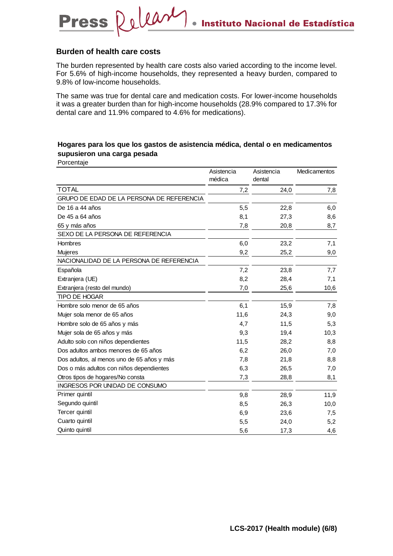#### **Burden of health care costs**

**Press** 

Pelease

The burden represented by health care costs also varied according to the income level. For 5.6% of high-income households, they represented a heavy burden, compared to 9.8% of low-income households.

The same was true for dental care and medication costs. For lower-income households it was a greater burden than for high-income households (28.9% compared to 17.3% for dental care and 11.9% compared to 4.6% for medications).

### **Hogares para los que los gastos de asistencia médica, dental o en medicamentos supusieron una carga pesada**

Porcentaje

|                                            | Asistencia | Asistencia | Medicamentos |
|--------------------------------------------|------------|------------|--------------|
|                                            | médica     | dental     |              |
| <b>TOTAL</b>                               | 7,2        | 24,0       | 7,8          |
| GRUPO DE EDAD DE LA PERSONA DE REFERENCIA  |            |            |              |
| De 16 a 44 años                            | 5,5        | 22,8       | 6,0          |
| De 45 a 64 años                            | 8,1        | 27,3       | 8,6          |
| 65 y más años                              | 7,8        | 20,8       | 8,7          |
| SEXO DE LA PERSONA DE REFERENCIA           |            |            |              |
| Hombres                                    | 6,0        | 23,2       | 7,1          |
| <b>Mujeres</b>                             | 9,2        | 25,2       | 9,0          |
| NACIONALIDAD DE LA PERSONA DE REFERENCIA   |            |            |              |
| Española                                   | 7,2        | 23,8       | 7,7          |
| Extranjera (UE)                            | 8,2        | 28,4       | 7,1          |
| Extranjera (resto del mundo)               | 7,0        | 25,6       | 10,6         |
| <b>TIPO DE HOGAR</b>                       |            |            |              |
| Hombre solo menor de 65 años               | 6,1        | 15,9       | 7,8          |
| Mujer sola menor de 65 años                | 11,6       | 24,3       | 9,0          |
| Hombre solo de 65 años y más               | 4,7        | 11,5       | 5,3          |
| Mujer sola de 65 años y más                | 9,3        | 19,4       | 10,3         |
| Adulto solo con niños dependientes         | 11,5       | 28,2       | 8,8          |
| Dos adultos ambos menores de 65 años       | 6,2        | 26,0       | 7,0          |
| Dos adultos, al menos uno de 65 años y más | 7,8        | 21,8       | 8,8          |
| Dos o más adultos con niños dependientes   | 6,3        | 26,5       | 7,0          |
| Otros tipos de hogares/No consta           | 7,3        | 28,8       | 8,1          |
| INGRESOS POR UNIDAD DE CONSUMO             |            |            |              |
| Primer quintil                             | 9,8        | 28,9       | 11,9         |
| Segundo quintil                            | 8,5        | 26,3       | 10,0         |
| Tercer quintil                             | 6,9        | 23,6       | 7,5          |
| Cuarto quintil                             | 5,5        | 24,0       | 5,2          |
| Quinto quintil                             | 5,6        | 17,3       | 4,6          |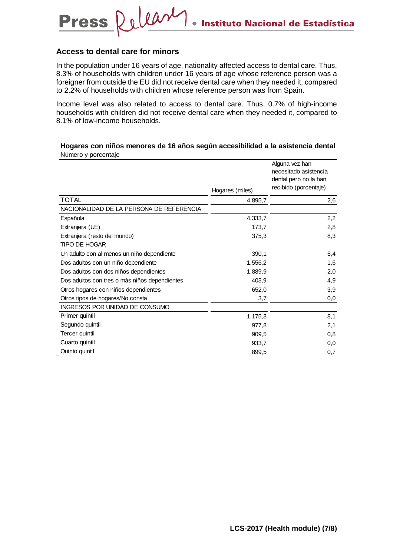#### **Access to dental care for minors**

**Press** 

Dolean

In the population under 16 years of age, nationality affected access to dental care. Thus, 8.3% of households with children under 16 years of age whose reference person was a foreigner from outside the EU did not receive dental care when they needed it, compared to 2.2% of households with children whose reference person was from Spain.

Income level was also related to access to dental care. Thus, 0.7% of high-income households with children did not receive dental care when they needed it, compared to 8.1% of low-income households.

#### **Hogares con niños menores de 16 años según accesibilidad a la asistencia dental**  Número y porcentaje

|                                               |                 | Alguna vez han<br>necesitado asistencia |
|-----------------------------------------------|-----------------|-----------------------------------------|
|                                               |                 | dental pero no la han                   |
|                                               | Hogares (miles) | recibido (porcentaje)                   |
| <b>TOTAL</b>                                  | 4.895,7         | 2,6                                     |
| NACIONALIDAD DE LA PERSONA DE REFERENCIA      |                 |                                         |
| Española                                      | 4.333,7         | 2,2                                     |
| Extranjera (UE)                               | 173,7           | 2,8                                     |
| Extranjera (resto del mundo)                  | 375,3           | 8,3                                     |
| TIPO DE HOGAR                                 |                 |                                         |
| Un adulto con al menos un niño dependiente    | 390,1           | 5,4                                     |
| Dos adultos con un niño dependiente           | 1.556,2         | 1,6                                     |
| Dos adultos con dos niños dependientes        | 1.889,9         | 2,0                                     |
| Dos adultos con tres o más niños dependientes | 403,9           | 4,9                                     |
| Otros hogares con niños dependientes          | 652,0           | 3,9                                     |
| Otros tipos de hogares/No consta              | 3,7             | 0,0                                     |
| INGRESOS POR UNIDAD DE CONSUMO                |                 |                                         |
| Primer quintil                                | 1.175,3         | 8,1                                     |
| Segundo quintil                               | 977,8           | 2,1                                     |
| Tercer quintil                                | 909,5           | 0,8                                     |
| Cuarto quintil                                | 933,7           | 0,0                                     |
| Quinto quintil                                | 899,5           | 0,7                                     |